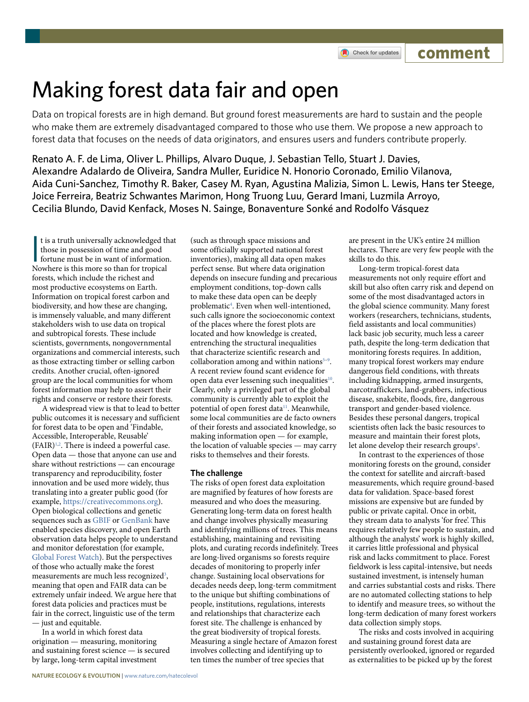# Making forest data fair and open

Data on tropical forests are in high demand. But ground forest measurements are hard to sustain and the people who make them are extremely disadvantaged compared to those who use them. We propose a new approach to forest data that focuses on the needs of data originators, and ensures users and funders contribute properly.

Renato A. F. de Lima, Oliver L. Phillips, Alvaro Duque, J. Sebastian Tello, Stuart J. Davies, Alexandre Adalardo de Oliveira, Sandra Muller, Euridice N. Honorio Coronado, Emilio Vilanova, Aida Cuni-Sanchez, Timothy R. Baker, Casey M. Ryan, Agustina Malizia, Simon L. Lewis, Hans ter Steege, Joice Ferreira, Beatriz Schwantes Marimon, Hong Truong Luu, Gerard Imani, Luzmila Arroyo, Cecilia Blundo, David Kenfack, Moses N. Sainge, Bonaventure Sonké and Rodolfo Vásquez

It is a truth universally acknowledged the<br>those in possession of time and good<br>fortune must be in want of information<br>Nowhere is this more so than for tropical t is a truth universally acknowledged that those in possession of time and good fortune must be in want of information. forests, which include the richest and most productive ecosystems on Earth. Information on tropical forest carbon and biodiversity, and how these are changing, is immensely valuable, and many different stakeholders wish to use data on tropical and subtropical forests. These include scientists, governments, nongovernmental organizations and commercial interests, such as those extracting timber or selling carbon credits. Another crucial, often-ignored group are the local communities for whom forest information may help to assert their rights and conserve or restore their forests.

A widespread view is that to lead to better public outcomes it is necessary and sufficient for forest data to be open and 'Findable, Accessible, Interoperable, Reusable' (FAIR)[1,](#page-2-0)[2](#page-2-1) . There is indeed a powerful case. Open data — those that anyone can use and share without restrictions — can encourage transparency and reproducibility, foster innovation and be used more widely, thus translating into a greater public good (for example, [https://creativecommons.org\)](https://creativecommons.org). Open biological collections and genetic sequences such as [GBIF](https://www.gbif.org/) or [GenBank](https://www.ncbi.nlm.nih.gov/genbank/) have enabled species discovery, and open Earth observation data helps people to understand and monitor deforestation (for example, [Global Forest Watch\)](https://www.globalforestwatch.org/). But the perspectives of those who actually make the forest measurements are much less recognized<sup>[3](#page-2-2)</sup>, meaning that open and FAIR data can be extremely unfair indeed. We argue here that forest data policies and practices must be fair in the correct, linguistic use of the term — just and equitable.

In a world in which forest data origination — measuring, monitoring and sustaining forest science — is secured by large, long-term capital investment

(such as through space missions and some officially supported national forest inventories), making all data open makes perfect sense. But where data origination depends on insecure funding and precarious employment conditions, top-down calls to make these data open can be deeply problematic<sup>[4](#page-2-3)</sup>. Even when well-intentioned, such calls ignore the socioeconomic context of the places where the forest plots are located and how knowledge is created, entrenching the structural inequalities that characterize scientific research and collaboration among and within nations $5-9$  $5-9$ . A recent review found scant evidence for open data ever lessening such inequalities<sup>10</sup>. Clearly, only a privileged part of the global community is currently able to exploit the potential of open forest data<sup>11</sup>. Meanwhile, some local communities are de facto owners of their forests and associated knowledge, so making information open — for example, the location of valuable species — may carry risks to themselves and their forests.

## **The challenge**

The risks of open forest data exploitation are magnified by features of how forests are measured and who does the measuring. Generating long-term data on forest health and change involves physically measuring and identifying millions of trees. This means establishing, maintaining and revisiting plots, and curating records indefinitely. Trees are long-lived organisms so forests require decades of monitoring to properly infer change. Sustaining local observations for decades needs deep, long-term commitment to the unique but shifting combinations of people, institutions, regulations, interests and relationships that characterize each forest site. The challenge is enhanced by the great biodiversity of tropical forests. Measuring a single hectare of Amazon forest involves collecting and identifying up to ten times the number of tree species that

are present in the UK's entire 24 million hectares. There are very few people with the skills to do this.

Long-term tropical-forest data measurements not only require effort and skill but also often carry risk and depend on some of the most disadvantaged actors in the global science community. Many forest workers (researchers, technicians, students, field assistants and local communities) lack basic job security, much less a career path, despite the long-term dedication that monitoring forests requires. In addition, many tropical forest workers may endure dangerous field conditions, with threats including kidnapping, armed insurgents, narcotraffickers, land-grabbers, infectious disease, snakebite, floods, fire, dangerous transport and gender-based violence. Besides these personal dangers, tropical scientists often lack the basic resources to measure and maintain their forest plots, let alone develop their research groups<sup>[8](#page-2-8)</sup>.

In contrast to the experiences of those monitoring forests on the ground, consider the context for satellite and aircraft-based measurements, which require ground-based data for validation. Space-based forest missions are expensive but are funded by public or private capital. Once in orbit, they stream data to analysts 'for free'. This requires relatively few people to sustain, and although the analysts' work is highly skilled, it carries little professional and physical risk and lacks commitment to place. Forest fieldwork is less capital-intensive, but needs sustained investment, is intensely human and carries substantial costs and risks. There are no automated collecting stations to help to identify and measure trees, so without the long-term dedication of many forest workers data collection simply stops.

The risks and costs involved in acquiring and sustaining ground forest data are persistently overlooked, ignored or regarded as externalities to be picked up by the forest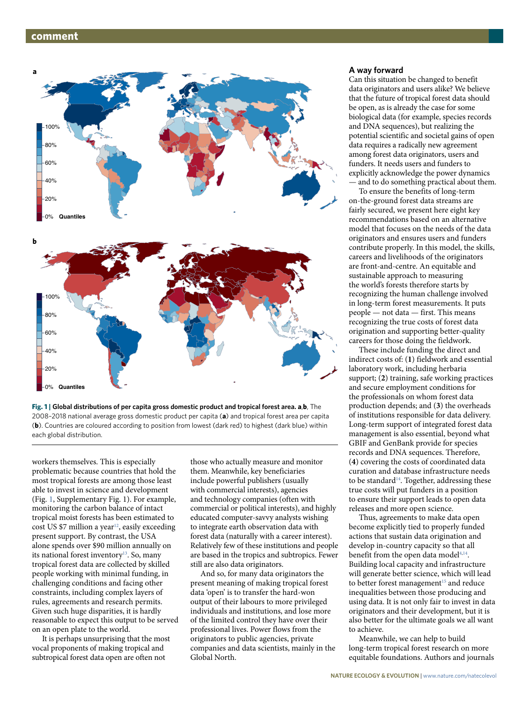## **comment**



<span id="page-1-0"></span>

workers themselves. This is especially problematic because countries that hold the most tropical forests are among those least able to invest in science and development (Fig. [1,](#page-1-0) Supplementary Fig. 1). For example, monitoring the carbon balance of intact tropical moist forests has been estimated to cost US \$7 million a year<sup>12</sup>, easily exceeding present support. By contrast, the USA alone spends over \$90 million annually on its national forest inventory<sup>13</sup>. So, many tropical forest data are collected by skilled people working with minimal funding, in challenging conditions and facing other constraints, including complex layers of rules, agreements and research permits. Given such huge disparities, it is hardly reasonable to expect this output to be served on an open plate to the world.

It is perhaps unsurprising that the most vocal proponents of making tropical and subtropical forest data open are often not

those who actually measure and monitor them. Meanwhile, key beneficiaries include powerful publishers (usually with commercial interests), agencies and technology companies (often with commercial or political interests), and highly educated computer-savvy analysts wishing to integrate earth observation data with forest data (naturally with a career interest). Relatively few of these institutions and people are based in the tropics and subtropics. Fewer still are also data originators.

And so, for many data originators the present meaning of making tropical forest data 'open' is to transfer the hard-won output of their labours to more privileged individuals and institutions, and lose more of the limited control they have over their professional lives. Power flows from the originators to public agencies, private companies and data scientists, mainly in the Global North.

### **A way forward**

Can this situation be changed to benefit data originators and users alike? We believe that the future of tropical forest data should be open, as is already the case for some biological data (for example, species records and DNA sequences), but realizing the potential scientific and societal gains of open data requires a radically new agreement among forest data originators, users and funders. It needs users and funders to explicitly acknowledge the power dynamics — and to do something practical about them.

To ensure the benefits of long-term on-the-ground forest data streams are fairly secured, we present here eight key recommendations based on an alternative model that focuses on the needs of the data originators and ensures users and funders contribute properly. In this model, the skills, careers and livelihoods of the originators are front-and-centre. An equitable and sustainable approach to measuring the world's forests therefore starts by recognizing the human challenge involved in long-term forest measurements. It puts people — not data — first. This means recognizing the true costs of forest data origination and supporting better-quality careers for those doing the fieldwork.

These include funding the direct and indirect costs of: (**1**) fieldwork and essential laboratory work, including herbaria support; (**2**) training, safe working practices and secure employment conditions for the professionals on whom forest data production depends; and (**3**) the overheads of institutions responsible for data delivery. Long-term support of integrated forest data management is also essential, beyond what GBIF and GenBank provide for species records and DNA sequences. Therefore, (**4**) covering the costs of coordinated data curation and database infrastructure needs to be standard<sup>[14](#page-2-11)</sup>. Together, addressing these true costs will put funders in a position to ensure their support leads to open data releases and more open science.

Thus, agreements to make data open become explicitly tied to properly funded actions that sustain data origination and develop in-country capacity so that all benefit from the open data model<sup>4,14</sup>. Building local capacity and infrastructure will generate better science, which will lead to better forest management<sup>15</sup> and reduce inequalities between those producing and using data. It is not only fair to invest in data originators and their development, but it is also better for the ultimate goals we all want to achieve.

Meanwhile, we can help to build long-term tropical forest research on more equitable foundations. Authors and journals